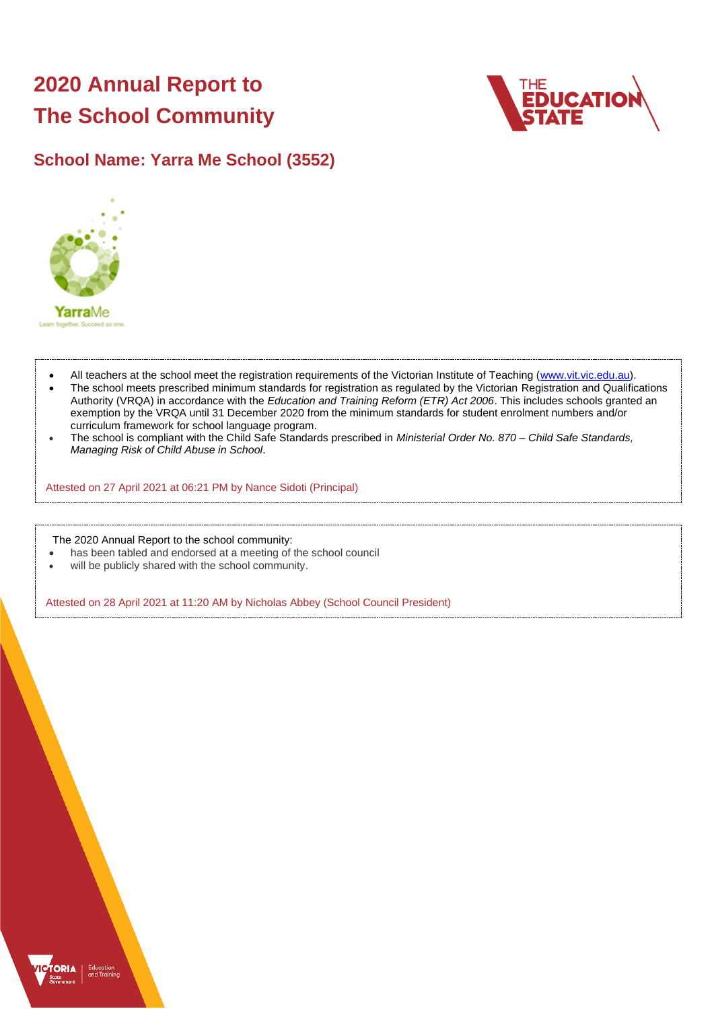# **2020 Annual Report to The School Community**



## **School Name: Yarra Me School (3552)**



- All teachers at the school meet the registration requirements of the Victorian Institute of Teaching [\(www.vit.vic.edu.au\)](https://www.vit.vic.edu.au/).
- The school meets prescribed minimum standards for registration as regulated by the Victorian Registration and Qualifications Authority (VRQA) in accordance with the *Education and Training Reform (ETR) Act 2006*. This includes schools granted an exemption by the VRQA until 31 December 2020 from the minimum standards for student enrolment numbers and/or curriculum framework for school language program.
- The school is compliant with the Child Safe Standards prescribed in *Ministerial Order No. 870 – Child Safe Standards, Managing Risk of Child Abuse in School*.

Attested on 27 April 2021 at 06:21 PM by Nance Sidoti (Principal)

The 2020 Annual Report to the school community:

- has been tabled and endorsed at a meeting of the school council
- will be publicly shared with the school community.

Attested on 28 April 2021 at 11:20 AM by Nicholas Abbey (School Council President)

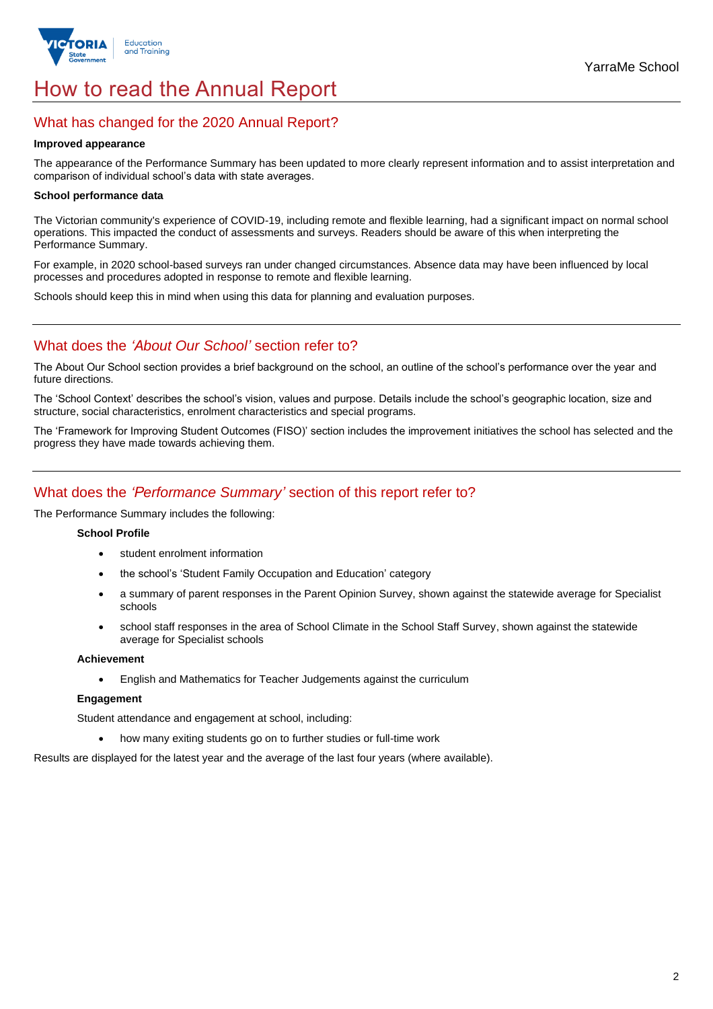

# How to read the Annual Report

## What has changed for the 2020 Annual Report?

#### **Improved appearance**

The appearance of the Performance Summary has been updated to more clearly represent information and to assist interpretation and comparison of individual school's data with state averages.

### **School performance data**

The Victorian community's experience of COVID-19, including remote and flexible learning, had a significant impact on normal school operations. This impacted the conduct of assessments and surveys. Readers should be aware of this when interpreting the Performance Summary.

For example, in 2020 school-based surveys ran under changed circumstances. Absence data may have been influenced by local processes and procedures adopted in response to remote and flexible learning.

Schools should keep this in mind when using this data for planning and evaluation purposes.

## What does the *'About Our School'* section refer to?

The About Our School section provides a brief background on the school, an outline of the school's performance over the year and future directions.

The 'School Context' describes the school's vision, values and purpose. Details include the school's geographic location, size and structure, social characteristics, enrolment characteristics and special programs.

The 'Framework for Improving Student Outcomes (FISO)' section includes the improvement initiatives the school has selected and the progress they have made towards achieving them.

## What does the *'Performance Summary'* section of this report refer to?

The Performance Summary includes the following:

### **School Profile**

- student enrolment information
- the school's 'Student Family Occupation and Education' category
- a summary of parent responses in the Parent Opinion Survey, shown against the statewide average for Specialist schools
- school staff responses in the area of School Climate in the School Staff Survey, shown against the statewide average for Specialist schools

#### **Achievement**

• English and Mathematics for Teacher Judgements against the curriculum

#### **Engagement**

Student attendance and engagement at school, including:

• how many exiting students go on to further studies or full-time work

Results are displayed for the latest year and the average of the last four years (where available).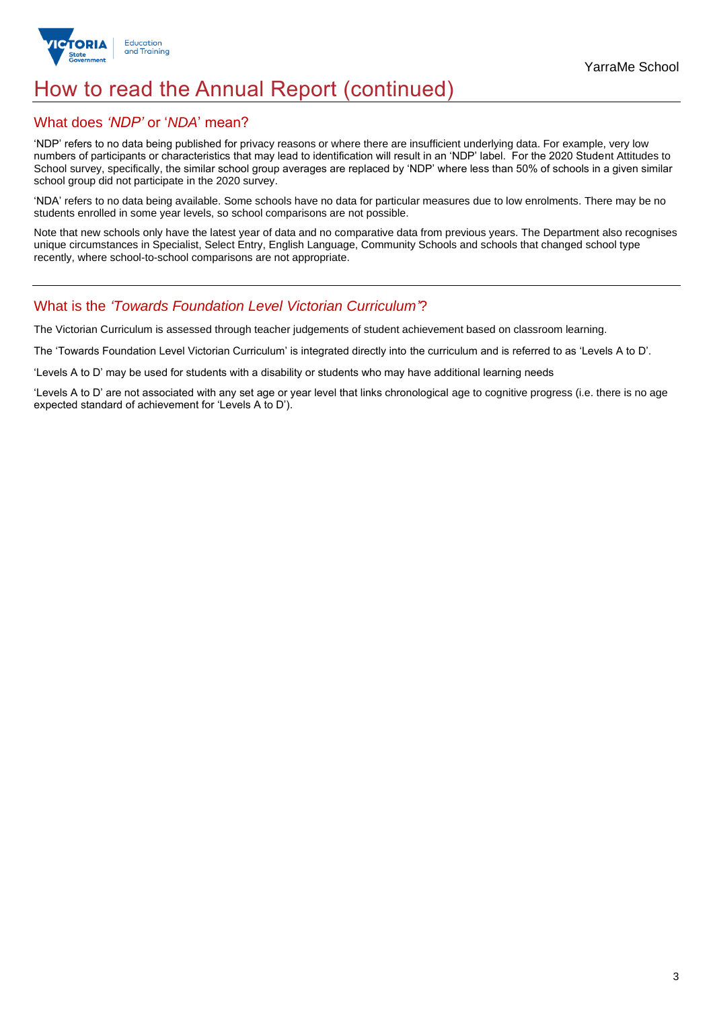

## How to read the Annual Report (continued)

## What does *'NDP'* or '*NDA*' mean?

'NDP' refers to no data being published for privacy reasons or where there are insufficient underlying data. For example, very low numbers of participants or characteristics that may lead to identification will result in an 'NDP' label. For the 2020 Student Attitudes to School survey, specifically, the similar school group averages are replaced by 'NDP' where less than 50% of schools in a given similar school group did not participate in the 2020 survey.

'NDA' refers to no data being available. Some schools have no data for particular measures due to low enrolments. There may be no students enrolled in some year levels, so school comparisons are not possible.

Note that new schools only have the latest year of data and no comparative data from previous years. The Department also recognises unique circumstances in Specialist, Select Entry, English Language, Community Schools and schools that changed school type recently, where school-to-school comparisons are not appropriate.

## What is the *'Towards Foundation Level Victorian Curriculum'*?

The Victorian Curriculum is assessed through teacher judgements of student achievement based on classroom learning.

The 'Towards Foundation Level Victorian Curriculum' is integrated directly into the curriculum and is referred to as 'Levels A to D'.

'Levels A to D' may be used for students with a disability or students who may have additional learning needs

'Levels A to D' are not associated with any set age or year level that links chronological age to cognitive progress (i.e. there is no age expected standard of achievement for 'Levels A to D').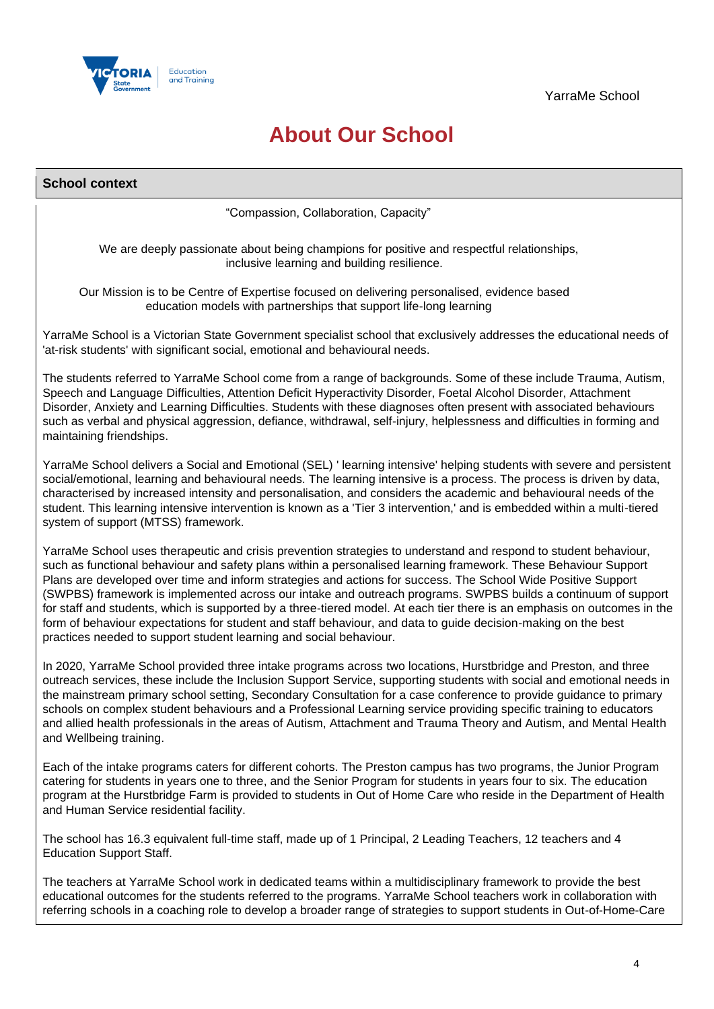

# **About Our School**

| <b>School context</b>                                                                                                                                                                                                                                                                                                                                                                                                                                                                                                                                                                                                                                                                                                                                                                    |
|------------------------------------------------------------------------------------------------------------------------------------------------------------------------------------------------------------------------------------------------------------------------------------------------------------------------------------------------------------------------------------------------------------------------------------------------------------------------------------------------------------------------------------------------------------------------------------------------------------------------------------------------------------------------------------------------------------------------------------------------------------------------------------------|
| "Compassion, Collaboration, Capacity"                                                                                                                                                                                                                                                                                                                                                                                                                                                                                                                                                                                                                                                                                                                                                    |
| We are deeply passionate about being champions for positive and respectful relationships,<br>inclusive learning and building resilience.                                                                                                                                                                                                                                                                                                                                                                                                                                                                                                                                                                                                                                                 |
| Our Mission is to be Centre of Expertise focused on delivering personalised, evidence based<br>education models with partnerships that support life-long learning                                                                                                                                                                                                                                                                                                                                                                                                                                                                                                                                                                                                                        |
| YarraMe School is a Victorian State Government specialist school that exclusively addresses the educational needs of<br>'at-risk students' with significant social, emotional and behavioural needs.                                                                                                                                                                                                                                                                                                                                                                                                                                                                                                                                                                                     |
| The students referred to YarraMe School come from a range of backgrounds. Some of these include Trauma, Autism,<br>Speech and Language Difficulties, Attention Deficit Hyperactivity Disorder, Foetal Alcohol Disorder, Attachment<br>Disorder, Anxiety and Learning Difficulties. Students with these diagnoses often present with associated behaviours<br>such as verbal and physical aggression, defiance, withdrawal, self-injury, helplessness and difficulties in forming and<br>maintaining friendships.                                                                                                                                                                                                                                                                         |
| YarraMe School delivers a Social and Emotional (SEL) 'learning intensive' helping students with severe and persistent<br>social/emotional, learning and behavioural needs. The learning intensive is a process. The process is driven by data,<br>characterised by increased intensity and personalisation, and considers the academic and behavioural needs of the<br>student. This learning intensive intervention is known as a 'Tier 3 intervention,' and is embedded within a multi-tiered<br>system of support (MTSS) framework.                                                                                                                                                                                                                                                   |
| YarraMe School uses therapeutic and crisis prevention strategies to understand and respond to student behaviour,<br>such as functional behaviour and safety plans within a personalised learning framework. These Behaviour Support<br>Plans are developed over time and inform strategies and actions for success. The School Wide Positive Support<br>(SWPBS) framework is implemented across our intake and outreach programs. SWPBS builds a continuum of support<br>for staff and students, which is supported by a three-tiered model. At each tier there is an emphasis on outcomes in the<br>form of behaviour expectations for student and staff behaviour, and data to guide decision-making on the best<br>practices needed to support student learning and social behaviour. |
| In 2020, YarraMe School provided three intake programs across two locations, Hurstbridge and Preston, and three<br>outreach services, these include the Inclusion Support Service, supporting students with social and emotional needs in<br>the mainstream primary school setting, Secondary Consultation for a case conference to provide guidance to primary<br>schools on complex student behaviours and a Professional Learning service providing specific training to educators<br>and allied health professionals in the areas of Autism, Attachment and Trauma Theory and Autism, and Mental Health<br>and Wellbeing training.                                                                                                                                                   |
| Each of the intake programs caters for different cohorts. The Preston campus has two programs, the Junior Program<br>catering for students in years one to three, and the Senior Program for students in years four to six. The education<br>program at the Hurstbridge Farm is provided to students in Out of Home Care who reside in the Department of Health<br>and Human Service residential facility.                                                                                                                                                                                                                                                                                                                                                                               |
| The school has 16.3 equivalent full-time staff, made up of 1 Principal, 2 Leading Teachers, 12 teachers and 4<br><b>Education Support Staff.</b>                                                                                                                                                                                                                                                                                                                                                                                                                                                                                                                                                                                                                                         |
| The teachers at YarraMe School work in dedicated teams within a multidisciplinary framework to provide the best<br>educational outcomes for the students referred to the programs. YarraMe School teachers work in collaboration with<br>referring schools in a coaching role to develop a broader range of strategies to support students in Out-of-Home-Care                                                                                                                                                                                                                                                                                                                                                                                                                           |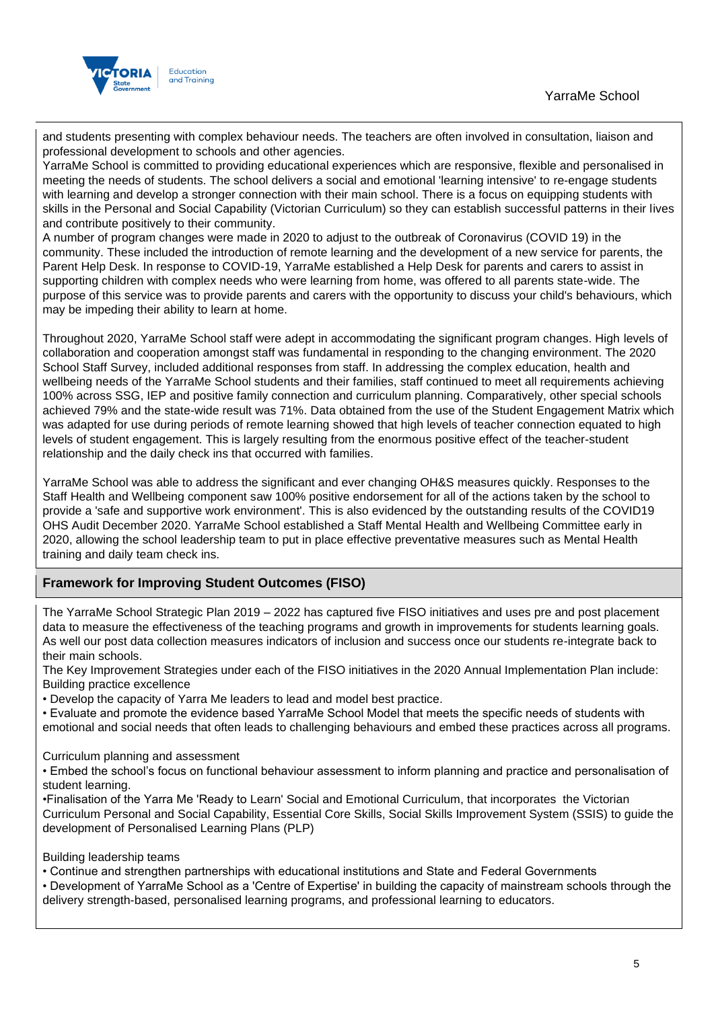

and students presenting with complex behaviour needs. The teachers are often involved in consultation, liaison and professional development to schools and other agencies.

YarraMe School is committed to providing educational experiences which are responsive, flexible and personalised in meeting the needs of students. The school delivers a social and emotional 'learning intensive' to re-engage students with learning and develop a stronger connection with their main school. There is a focus on equipping students with skills in the Personal and Social Capability (Victorian Curriculum) so they can establish successful patterns in their lives and contribute positively to their community.

A number of program changes were made in 2020 to adjust to the outbreak of Coronavirus (COVID 19) in the community. These included the introduction of remote learning and the development of a new service for parents, the Parent Help Desk. In response to COVID-19, YarraMe established a Help Desk for parents and carers to assist in supporting children with complex needs who were learning from home, was offered to all parents state-wide. The purpose of this service was to provide parents and carers with the opportunity to discuss your child's behaviours, which may be impeding their ability to learn at home.

Throughout 2020, YarraMe School staff were adept in accommodating the significant program changes. High levels of collaboration and cooperation amongst staff was fundamental in responding to the changing environment. The 2020 School Staff Survey, included additional responses from staff. In addressing the complex education, health and wellbeing needs of the YarraMe School students and their families, staff continued to meet all requirements achieving 100% across SSG, IEP and positive family connection and curriculum planning. Comparatively, other special schools achieved 79% and the state-wide result was 71%. Data obtained from the use of the Student Engagement Matrix which was adapted for use during periods of remote learning showed that high levels of teacher connection equated to high levels of student engagement. This is largely resulting from the enormous positive effect of the teacher-student relationship and the daily check ins that occurred with families.

YarraMe School was able to address the significant and ever changing OH&S measures quickly. Responses to the Staff Health and Wellbeing component saw 100% positive endorsement for all of the actions taken by the school to provide a 'safe and supportive work environment'. This is also evidenced by the outstanding results of the COVID19 OHS Audit December 2020. YarraMe School established a Staff Mental Health and Wellbeing Committee early in 2020, allowing the school leadership team to put in place effective preventative measures such as Mental Health training and daily team check ins.

## **Framework for Improving Student Outcomes (FISO)**

The YarraMe School Strategic Plan 2019 – 2022 has captured five FISO initiatives and uses pre and post placement data to measure the effectiveness of the teaching programs and growth in improvements for students learning goals. As well our post data collection measures indicators of inclusion and success once our students re-integrate back to their main schools.

The Key Improvement Strategies under each of the FISO initiatives in the 2020 Annual Implementation Plan include: Building practice excellence

• Develop the capacity of Yarra Me leaders to lead and model best practice.

• Evaluate and promote the evidence based YarraMe School Model that meets the specific needs of students with emotional and social needs that often leads to challenging behaviours and embed these practices across all programs.

Curriculum planning and assessment

• Embed the school's focus on functional behaviour assessment to inform planning and practice and personalisation of student learning.

•Finalisation of the Yarra Me 'Ready to Learn' Social and Emotional Curriculum, that incorporates the Victorian Curriculum Personal and Social Capability, Essential Core Skills, Social Skills Improvement System (SSIS) to guide the development of Personalised Learning Plans (PLP)

Building leadership teams

• Continue and strengthen partnerships with educational institutions and State and Federal Governments

• Development of YarraMe School as a 'Centre of Expertise' in building the capacity of mainstream schools through the delivery strength-based, personalised learning programs, and professional learning to educators.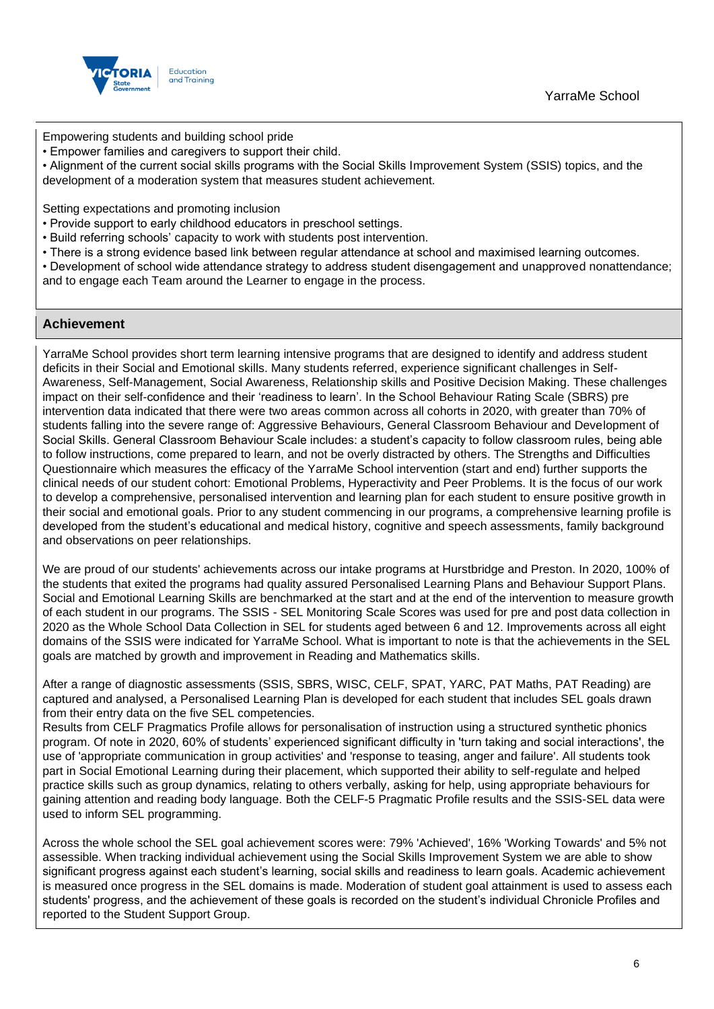

YarraMe School

Empowering students and building school pride

• Empower families and caregivers to support their child.

• Alignment of the current social skills programs with the Social Skills Improvement System (SSIS) topics, and the development of a moderation system that measures student achievement.

Setting expectations and promoting inclusion

- Provide support to early childhood educators in preschool settings.
- Build referring schools' capacity to work with students post intervention.
- There is a strong evidence based link between regular attendance at school and maximised learning outcomes.

• Development of school wide attendance strategy to address student disengagement and unapproved nonattendance; and to engage each Team around the Learner to engage in the process.

### **Achievement**

YarraMe School provides short term learning intensive programs that are designed to identify and address student deficits in their Social and Emotional skills. Many students referred, experience significant challenges in Self-Awareness, Self-Management, Social Awareness, Relationship skills and Positive Decision Making. These challenges impact on their self-confidence and their 'readiness to learn'. In the School Behaviour Rating Scale (SBRS) pre intervention data indicated that there were two areas common across all cohorts in 2020, with greater than 70% of students falling into the severe range of: Aggressive Behaviours, General Classroom Behaviour and Development of Social Skills. General Classroom Behaviour Scale includes: a student's capacity to follow classroom rules, being able to follow instructions, come prepared to learn, and not be overly distracted by others. The Strengths and Difficulties Questionnaire which measures the efficacy of the YarraMe School intervention (start and end) further supports the clinical needs of our student cohort: Emotional Problems, Hyperactivity and Peer Problems. It is the focus of our work to develop a comprehensive, personalised intervention and learning plan for each student to ensure positive growth in their social and emotional goals. Prior to any student commencing in our programs, a comprehensive learning profile is developed from the student's educational and medical history, cognitive and speech assessments, family background and observations on peer relationships.

We are proud of our students' achievements across our intake programs at Hurstbridge and Preston. In 2020, 100% of the students that exited the programs had quality assured Personalised Learning Plans and Behaviour Support Plans. Social and Emotional Learning Skills are benchmarked at the start and at the end of the intervention to measure growth of each student in our programs. The SSIS - SEL Monitoring Scale Scores was used for pre and post data collection in 2020 as the Whole School Data Collection in SEL for students aged between 6 and 12. Improvements across all eight domains of the SSIS were indicated for YarraMe School. What is important to note is that the achievements in the SEL goals are matched by growth and improvement in Reading and Mathematics skills.

After a range of diagnostic assessments (SSIS, SBRS, WISC, CELF, SPAT, YARC, PAT Maths, PAT Reading) are captured and analysed, a Personalised Learning Plan is developed for each student that includes SEL goals drawn from their entry data on the five SEL competencies.

Results from CELF Pragmatics Profile allows for personalisation of instruction using a structured synthetic phonics program. Of note in 2020, 60% of students' experienced significant difficulty in 'turn taking and social interactions', the use of 'appropriate communication in group activities' and 'response to teasing, anger and failure'. All students took part in Social Emotional Learning during their placement, which supported their ability to self-regulate and helped practice skills such as group dynamics, relating to others verbally, asking for help, using appropriate behaviours for gaining attention and reading body language. Both the CELF-5 Pragmatic Profile results and the SSIS-SEL data were used to inform SEL programming.

Across the whole school the SEL goal achievement scores were: 79% 'Achieved', 16% 'Working Towards' and 5% not assessible. When tracking individual achievement using the Social Skills Improvement System we are able to show significant progress against each student's learning, social skills and readiness to learn goals. Academic achievement is measured once progress in the SEL domains is made. Moderation of student goal attainment is used to assess each students' progress, and the achievement of these goals is recorded on the student's individual Chronicle Profiles and reported to the Student Support Group.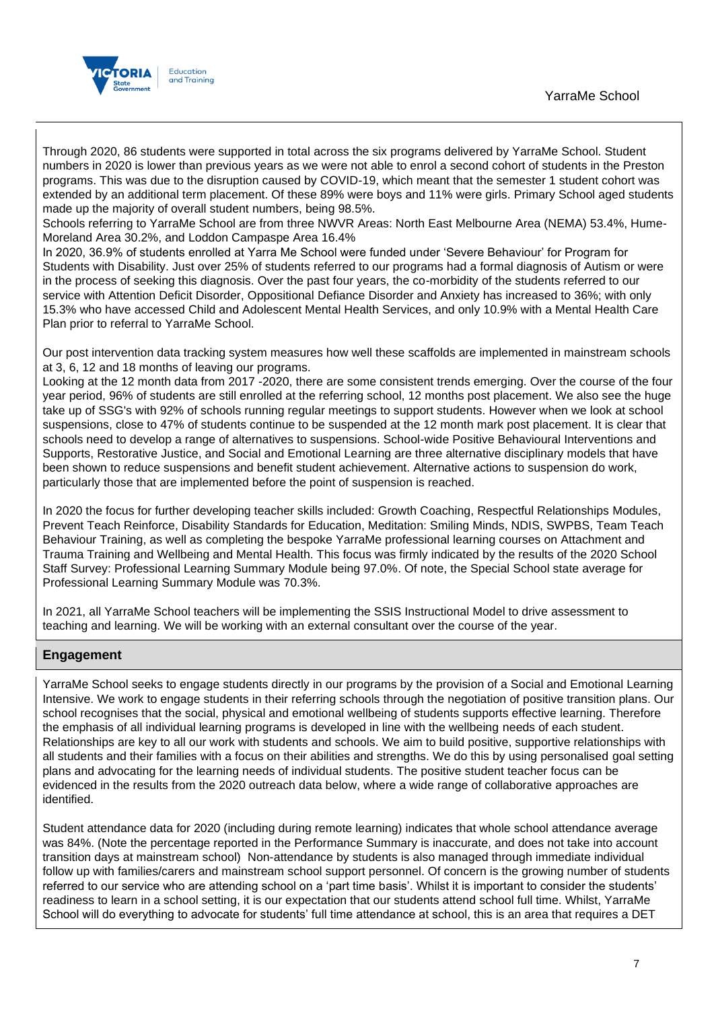## YarraMe School



Through 2020, 86 students were supported in total across the six programs delivered by YarraMe School. Student numbers in 2020 is lower than previous years as we were not able to enrol a second cohort of students in the Preston programs. This was due to the disruption caused by COVID-19, which meant that the semester 1 student cohort was extended by an additional term placement. Of these 89% were boys and 11% were girls. Primary School aged students made up the majority of overall student numbers, being 98.5%.

Schools referring to YarraMe School are from three NWVR Areas: North East Melbourne Area (NEMA) 53.4%, Hume-Moreland Area 30.2%, and Loddon Campaspe Area 16.4%

In 2020, 36.9% of students enrolled at Yarra Me School were funded under 'Severe Behaviour' for Program for Students with Disability. Just over 25% of students referred to our programs had a formal diagnosis of Autism or were in the process of seeking this diagnosis. Over the past four years, the co-morbidity of the students referred to our service with Attention Deficit Disorder, Oppositional Defiance Disorder and Anxiety has increased to 36%; with only 15.3% who have accessed Child and Adolescent Mental Health Services, and only 10.9% with a Mental Health Care Plan prior to referral to YarraMe School.

Our post intervention data tracking system measures how well these scaffolds are implemented in mainstream schools at 3, 6, 12 and 18 months of leaving our programs.

Looking at the 12 month data from 2017 -2020, there are some consistent trends emerging. Over the course of the four year period, 96% of students are still enrolled at the referring school, 12 months post placement. We also see the huge take up of SSG's with 92% of schools running regular meetings to support students. However when we look at school suspensions, close to 47% of students continue to be suspended at the 12 month mark post placement. It is clear that schools need to develop a range of alternatives to suspensions. School-wide Positive Behavioural Interventions and Supports, Restorative Justice, and Social and Emotional Learning are three alternative disciplinary models that have been shown to reduce suspensions and benefit student achievement. Alternative actions to suspension do work, particularly those that are implemented before the point of suspension is reached.

In 2020 the focus for further developing teacher skills included: Growth Coaching, Respectful Relationships Modules, Prevent Teach Reinforce, Disability Standards for Education, Meditation: Smiling Minds, NDIS, SWPBS, Team Teach Behaviour Training, as well as completing the bespoke YarraMe professional learning courses on Attachment and Trauma Training and Wellbeing and Mental Health. This focus was firmly indicated by the results of the 2020 School Staff Survey: Professional Learning Summary Module being 97.0%. Of note, the Special School state average for Professional Learning Summary Module was 70.3%.

In 2021, all YarraMe School teachers will be implementing the SSIS Instructional Model to drive assessment to teaching and learning. We will be working with an external consultant over the course of the year.

### **Engagement**

YarraMe School seeks to engage students directly in our programs by the provision of a Social and Emotional Learning Intensive. We work to engage students in their referring schools through the negotiation of positive transition plans. Our school recognises that the social, physical and emotional wellbeing of students supports effective learning. Therefore the emphasis of all individual learning programs is developed in line with the wellbeing needs of each student. Relationships are key to all our work with students and schools. We aim to build positive, supportive relationships with all students and their families with a focus on their abilities and strengths. We do this by using personalised goal setting plans and advocating for the learning needs of individual students. The positive student teacher focus can be evidenced in the results from the 2020 outreach data below, where a wide range of collaborative approaches are identified.

Student attendance data for 2020 (including during remote learning) indicates that whole school attendance average was 84%. (Note the percentage reported in the Performance Summary is inaccurate, and does not take into account transition days at mainstream school) Non-attendance by students is also managed through immediate individual follow up with families/carers and mainstream school support personnel. Of concern is the growing number of students referred to our service who are attending school on a 'part time basis'. Whilst it is important to consider the students' readiness to learn in a school setting, it is our expectation that our students attend school full time. Whilst, YarraMe School will do everything to advocate for students' full time attendance at school, this is an area that requires a DET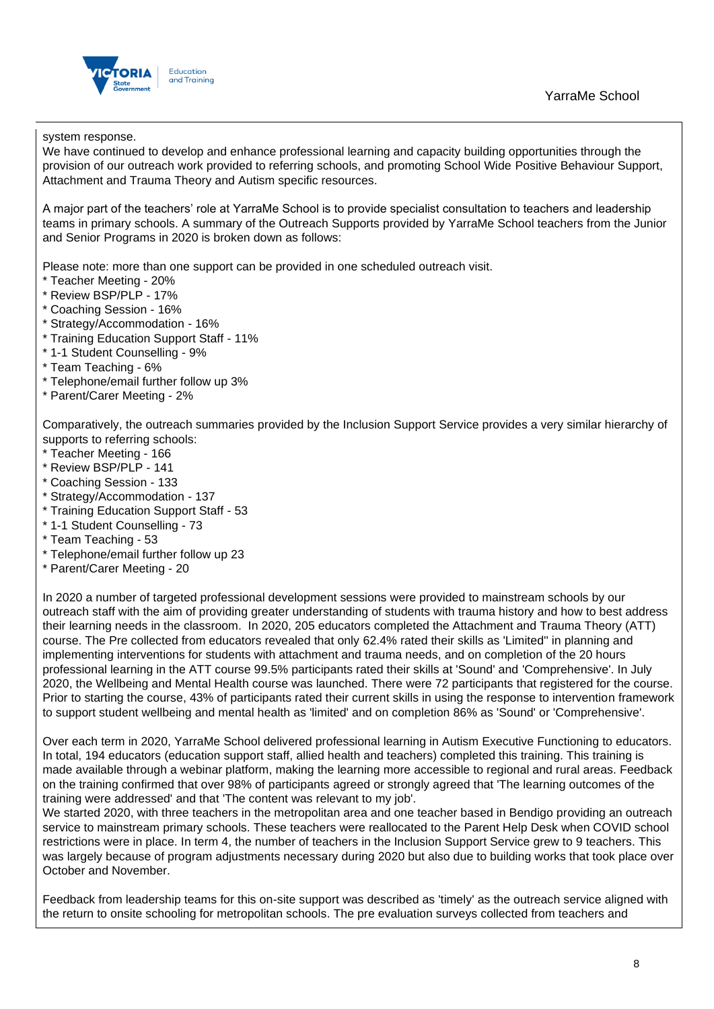

system response.

We have continued to develop and enhance professional learning and capacity building opportunities through the provision of our outreach work provided to referring schools, and promoting School Wide Positive Behaviour Support, Attachment and Trauma Theory and Autism specific resources.

A major part of the teachers' role at YarraMe School is to provide specialist consultation to teachers and leadership teams in primary schools. A summary of the Outreach Supports provided by YarraMe School teachers from the Junior and Senior Programs in 2020 is broken down as follows:

Please note: more than one support can be provided in one scheduled outreach visit.

- \* Teacher Meeting 20%
- \* Review BSP/PLP 17%
- \* Coaching Session 16%
- \* Strategy/Accommodation 16%
- \* Training Education Support Staff 11%
- \* 1-1 Student Counselling 9%
- \* Team Teaching 6%
- \* Telephone/email further follow up 3%
- \* Parent/Carer Meeting 2%

Comparatively, the outreach summaries provided by the Inclusion Support Service provides a very similar hierarchy of supports to referring schools:

- \* Teacher Meeting 166
- \* Review BSP/PLP 141
- \* Coaching Session 133
- \* Strategy/Accommodation 137
- \* Training Education Support Staff 53
- \* 1-1 Student Counselling 73
- \* Team Teaching 53
- \* Telephone/email further follow up 23
- \* Parent/Carer Meeting 20

In 2020 a number of targeted professional development sessions were provided to mainstream schools by our outreach staff with the aim of providing greater understanding of students with trauma history and how to best address their learning needs in the classroom. In 2020, 205 educators completed the Attachment and Trauma Theory (ATT) course. The Pre collected from educators revealed that only 62.4% rated their skills as 'Limited'' in planning and implementing interventions for students with attachment and trauma needs, and on completion of the 20 hours professional learning in the ATT course 99.5% participants rated their skills at 'Sound' and 'Comprehensive'. In July 2020, the Wellbeing and Mental Health course was launched. There were 72 participants that registered for the course. Prior to starting the course, 43% of participants rated their current skills in using the response to intervention framework to support student wellbeing and mental health as 'limited' and on completion 86% as 'Sound' or 'Comprehensive'.

Over each term in 2020, YarraMe School delivered professional learning in Autism Executive Functioning to educators. In total, 194 educators (education support staff, allied health and teachers) completed this training. This training is made available through a webinar platform, making the learning more accessible to regional and rural areas. Feedback on the training confirmed that over 98% of participants agreed or strongly agreed that 'The learning outcomes of the training were addressed' and that 'The content was relevant to my job'.

We started 2020, with three teachers in the metropolitan area and one teacher based in Bendigo providing an outreach service to mainstream primary schools. These teachers were reallocated to the Parent Help Desk when COVID school restrictions were in place. In term 4, the number of teachers in the Inclusion Support Service grew to 9 teachers. This was largely because of program adjustments necessary during 2020 but also due to building works that took place over October and November.

Feedback from leadership teams for this on-site support was described as 'timely' as the outreach service aligned with the return to onsite schooling for metropolitan schools. The pre evaluation surveys collected from teachers and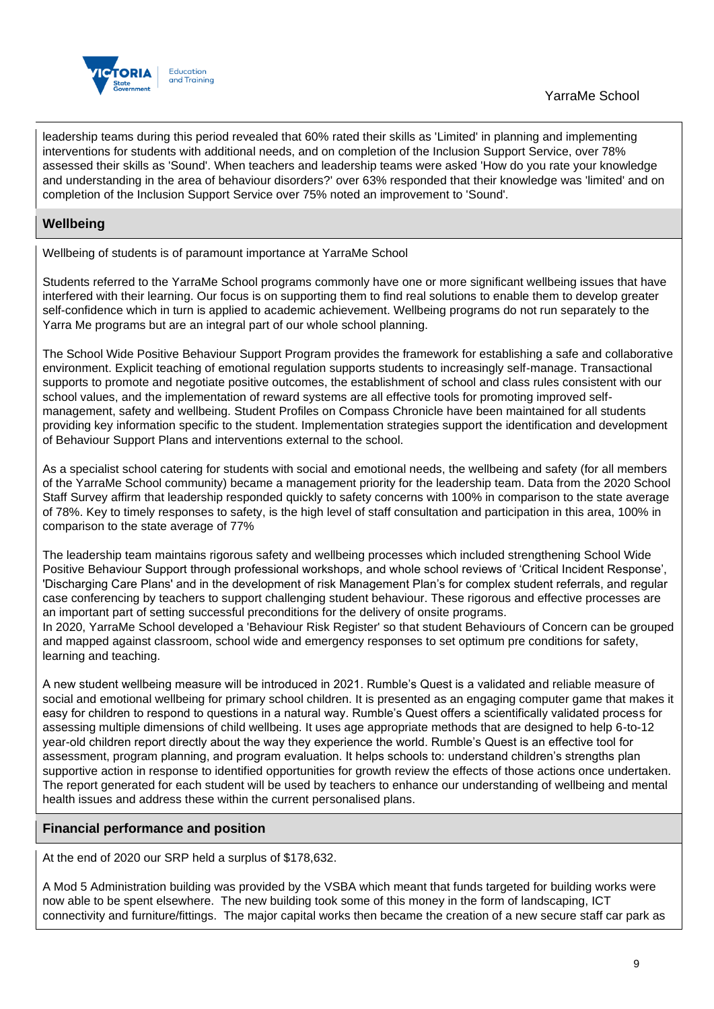

leadership teams during this period revealed that 60% rated their skills as 'Limited' in planning and implementing interventions for students with additional needs, and on completion of the Inclusion Support Service, over 78% assessed their skills as 'Sound'. When teachers and leadership teams were asked 'How do you rate your knowledge and understanding in the area of behaviour disorders?' over 63% responded that their knowledge was 'limited' and on completion of the Inclusion Support Service over 75% noted an improvement to 'Sound'.

## **Wellbeing**

Wellbeing of students is of paramount importance at YarraMe School

Students referred to the YarraMe School programs commonly have one or more significant wellbeing issues that have interfered with their learning. Our focus is on supporting them to find real solutions to enable them to develop greater self-confidence which in turn is applied to academic achievement. Wellbeing programs do not run separately to the Yarra Me programs but are an integral part of our whole school planning.

The School Wide Positive Behaviour Support Program provides the framework for establishing a safe and collaborative environment. Explicit teaching of emotional regulation supports students to increasingly self-manage. Transactional supports to promote and negotiate positive outcomes, the establishment of school and class rules consistent with our school values, and the implementation of reward systems are all effective tools for promoting improved selfmanagement, safety and wellbeing. Student Profiles on Compass Chronicle have been maintained for all students providing key information specific to the student. Implementation strategies support the identification and development of Behaviour Support Plans and interventions external to the school.

As a specialist school catering for students with social and emotional needs, the wellbeing and safety (for all members of the YarraMe School community) became a management priority for the leadership team. Data from the 2020 School Staff Survey affirm that leadership responded quickly to safety concerns with 100% in comparison to the state average of 78%. Key to timely responses to safety, is the high level of staff consultation and participation in this area, 100% in comparison to the state average of 77%

The leadership team maintains rigorous safety and wellbeing processes which included strengthening School Wide Positive Behaviour Support through professional workshops, and whole school reviews of 'Critical Incident Response', 'Discharging Care Plans' and in the development of risk Management Plan's for complex student referrals, and regular case conferencing by teachers to support challenging student behaviour. These rigorous and effective processes are an important part of setting successful preconditions for the delivery of onsite programs.

In 2020, YarraMe School developed a 'Behaviour Risk Register' so that student Behaviours of Concern can be grouped and mapped against classroom, school wide and emergency responses to set optimum pre conditions for safety, learning and teaching.

A new student wellbeing measure will be introduced in 2021. Rumble's Quest is a validated and reliable measure of social and emotional wellbeing for primary school children. It is presented as an engaging computer game that makes it easy for children to respond to questions in a natural way. Rumble's Quest offers a scientifically validated process for assessing multiple dimensions of child wellbeing. It uses age appropriate methods that are designed to help 6-to-12 year-old children report directly about the way they experience the world. Rumble's Quest is an effective tool for assessment, program planning, and program evaluation. It helps schools to: understand children's strengths plan supportive action in response to identified opportunities for growth review the effects of those actions once undertaken. The report generated for each student will be used by teachers to enhance our understanding of wellbeing and mental health issues and address these within the current personalised plans.

## **Financial performance and position**

At the end of 2020 our SRP held a surplus of \$178,632.

A Mod 5 Administration building was provided by the VSBA which meant that funds targeted for building works were now able to be spent elsewhere. The new building took some of this money in the form of landscaping, ICT connectivity and furniture/fittings. The major capital works then became the creation of a new secure staff car park as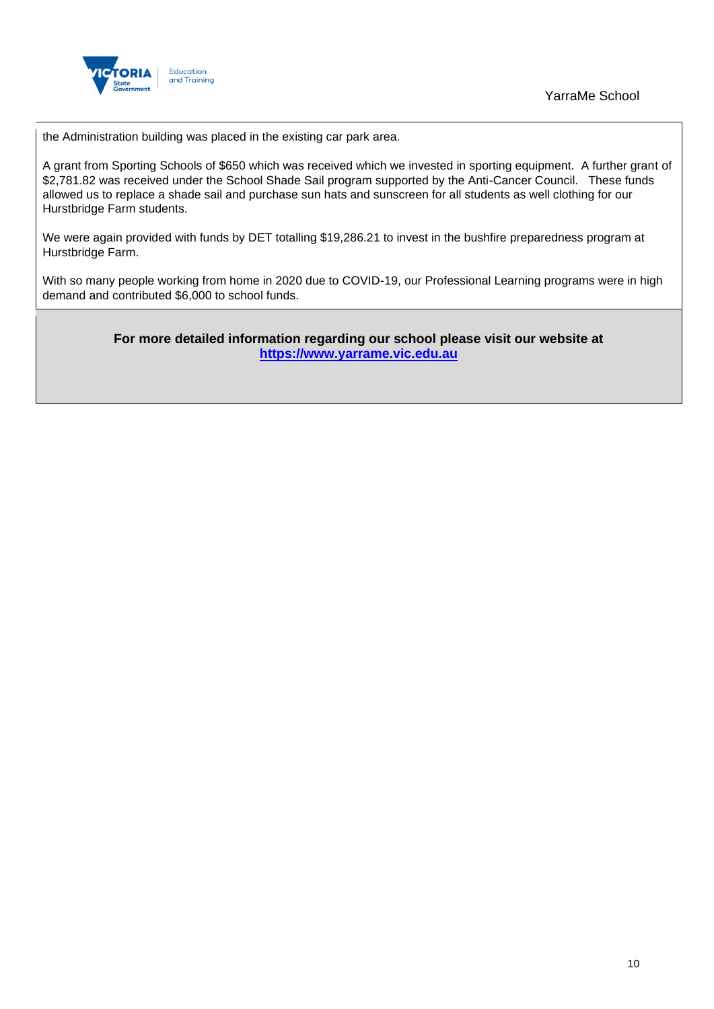

YarraMe School

the Administration building was placed in the existing car park area.

A grant from Sporting Schools of \$650 which was received which we invested in sporting equipment. A further grant of \$2,781.82 was received under the School Shade Sail program supported by the Anti-Cancer Council. These funds allowed us to replace a shade sail and purchase sun hats and sunscreen for all students as well clothing for our Hurstbridge Farm students.

We were again provided with funds by DET totalling \$19,286.21 to invest in the bushfire preparedness program at Hurstbridge Farm.

With so many people working from home in 2020 due to COVID-19, our Professional Learning programs were in high demand and contributed \$6,000 to school funds.

> **For more detailed information regarding our school please visit our website at [https://www.yarrame.vic.edu.au](https://www.yarrame.vic.edu.au/)**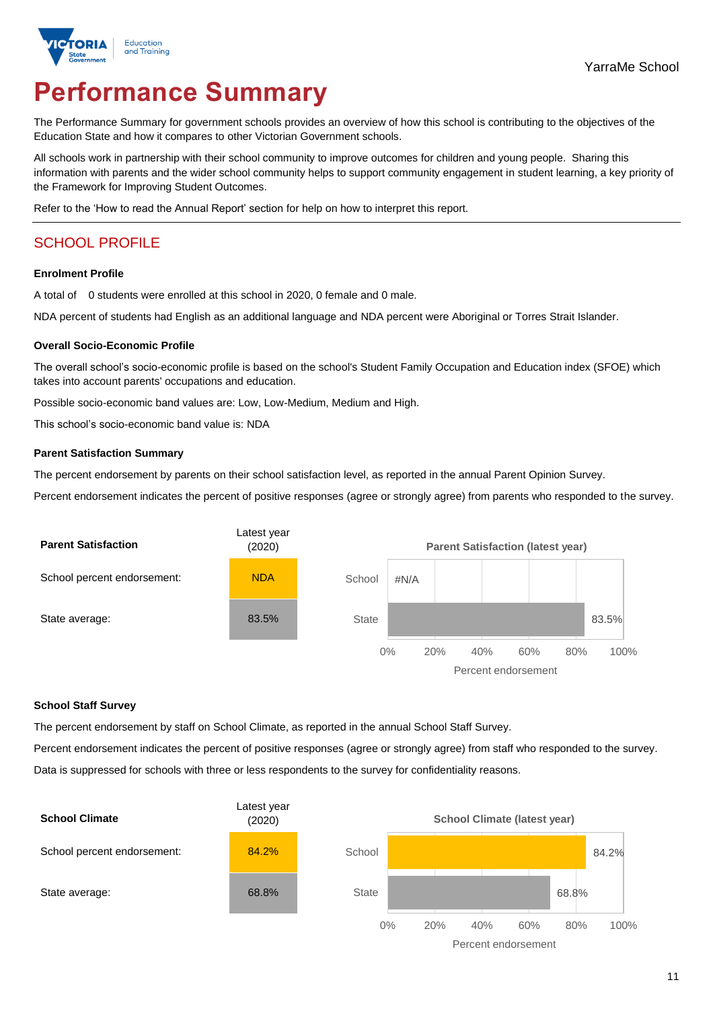

# **Performance Summary**

The Performance Summary for government schools provides an overview of how this school is contributing to the objectives of the Education State and how it compares to other Victorian Government schools.

All schools work in partnership with their school community to improve outcomes for children and young people. Sharing this information with parents and the wider school community helps to support community engagement in student learning, a key priority of the Framework for Improving Student Outcomes.

Refer to the 'How to read the Annual Report' section for help on how to interpret this report.

## SCHOOL PROFILE

#### **Enrolment Profile**

A total of 0 students were enrolled at this school in 2020, 0 female and 0 male.

NDA percent of students had English as an additional language and NDA percent were Aboriginal or Torres Strait Islander.

#### **Overall Socio-Economic Profile**

The overall school's socio-economic profile is based on the school's Student Family Occupation and Education index (SFOE) which takes into account parents' occupations and education.

Possible socio-economic band values are: Low, Low-Medium, Medium and High.

This school's socio-economic band value is: NDA

#### **Parent Satisfaction Summary**

The percent endorsement by parents on their school satisfaction level, as reported in the annual Parent Opinion Survey.

Percent endorsement indicates the percent of positive responses (agree or strongly agree) from parents who responded to the survey.



#### **School Staff Survey**

The percent endorsement by staff on School Climate, as reported in the annual School Staff Survey.

Percent endorsement indicates the percent of positive responses (agree or strongly agree) from staff who responded to the survey. Data is suppressed for schools with three or less respondents to the survey for confidentiality reasons.

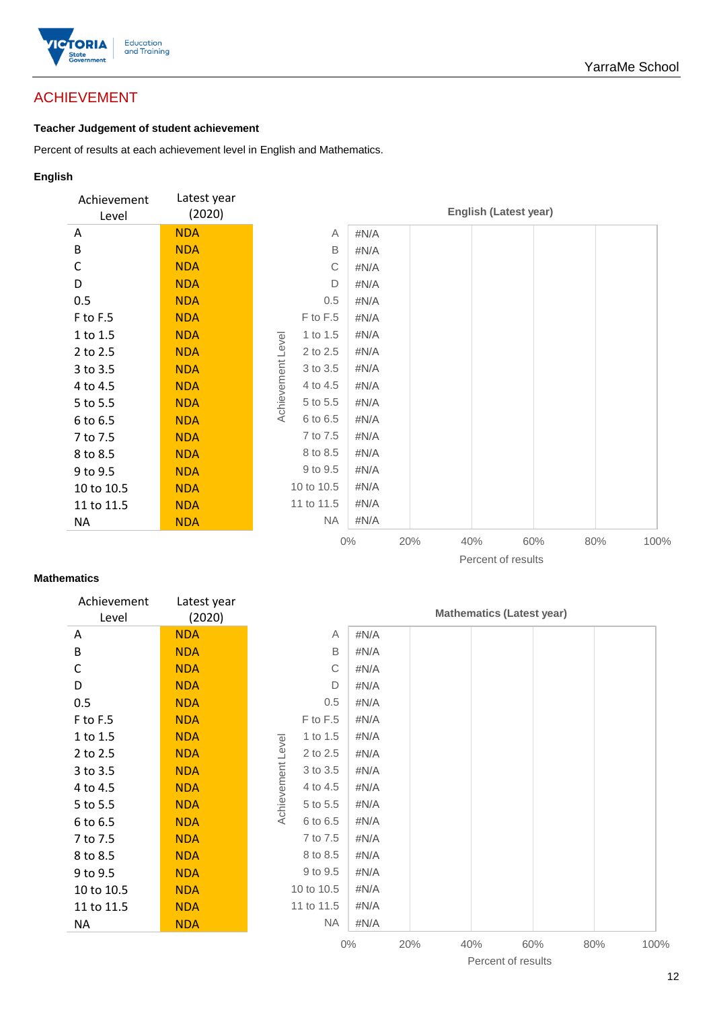

## ACHIEVEMENT

### **Teacher Judgement of student achievement**

Percent of results at each achievement level in English and Mathematics.

### **English**

| Achievement<br>Level | Latest year<br>(2020) |                               |       |     | <b>English (Latest year)</b> |     |     |      |
|----------------------|-----------------------|-------------------------------|-------|-----|------------------------------|-----|-----|------|
| A                    | <b>NDA</b>            | A                             | #N/A  |     |                              |     |     |      |
| В                    | <b>NDA</b>            | B                             | #N/A  |     |                              |     |     |      |
| C                    | <b>NDA</b>            | C                             | #N/A  |     |                              |     |     |      |
| D                    | <b>NDA</b>            | D                             | #N/A  |     |                              |     |     |      |
| 0.5                  | <b>NDA</b>            | 0.5                           | #N/A  |     |                              |     |     |      |
| F to F.5             | <b>NDA</b>            | F to F.5                      | #N/A  |     |                              |     |     |      |
| 1 to 1.5             | <b>NDA</b>            | 1 to 1.5                      | #N/A  |     |                              |     |     |      |
| 2 to 2.5             | <b>NDA</b>            | 2 to 2.5                      | #N/A  |     |                              |     |     |      |
| 3 to 3.5             | <b>NDA</b>            | 3 to 3.5                      | #N/A  |     |                              |     |     |      |
| 4 to 4.5             | <b>NDA</b>            | 4 to 4.5                      | #N/A  |     |                              |     |     |      |
| 5 to 5.5             | <b>NDA</b>            | Achievement Level<br>5 to 5.5 | #N/A  |     |                              |     |     |      |
| 6 to 6.5             | <b>NDA</b>            | 6 to 6.5                      | #N/A  |     |                              |     |     |      |
| 7 to 7.5             | <b>NDA</b>            | 7 to 7.5                      | #N/A  |     |                              |     |     |      |
| 8 to 8.5             | <b>NDA</b>            | 8 to 8.5                      | #N/A  |     |                              |     |     |      |
| 9 to 9.5             | <b>NDA</b>            | 9 to 9.5                      | #N/A  |     |                              |     |     |      |
| 10 to 10.5           | <b>NDA</b>            | 10 to 10.5                    | #N/A  |     |                              |     |     |      |
| 11 to 11.5           | <b>NDA</b>            | 11 to 11.5                    | #N/A  |     |                              |     |     |      |
| NA                   | <b>NDA</b>            | <b>NA</b>                     | #N/A  |     |                              |     |     |      |
|                      |                       |                               | $0\%$ | 20% | 40%                          | 60% | 80% | 100% |

### Percent of results

### **Mathematics**

| Achievement<br>Level | Latest year<br>(2020) |                   |            |         |     |     | <b>Mathematics (Latest year)</b> |     |      |
|----------------------|-----------------------|-------------------|------------|---------|-----|-----|----------------------------------|-----|------|
| A                    | <b>NDA</b>            |                   | A          | $\#N/A$ |     |     |                                  |     |      |
| B                    | <b>NDA</b>            |                   | B          | #N/A    |     |     |                                  |     |      |
| C                    | <b>NDA</b>            |                   | C          | $\#N/A$ |     |     |                                  |     |      |
| D                    | <b>NDA</b>            |                   | D          | #N/A    |     |     |                                  |     |      |
| 0.5                  | <b>NDA</b>            |                   | 0.5        | #N/A    |     |     |                                  |     |      |
| F to F.5             | <b>NDA</b>            |                   | F to F.5   | #N/A    |     |     |                                  |     |      |
| 1 to 1.5             | <b>NDA</b>            |                   | 1 to 1.5   | #N/A    |     |     |                                  |     |      |
| 2 to 2.5             | <b>NDA</b>            |                   | 2 to 2.5   | $\#N/A$ |     |     |                                  |     |      |
| 3 to 3.5             | <b>NDA</b>            | Achievement Level | 3 to 3.5   | #N/A    |     |     |                                  |     |      |
| 4 to 4.5             | <b>NDA</b>            |                   | 4 to 4.5   | #N/A    |     |     |                                  |     |      |
| 5 to 5.5             | <b>NDA</b>            |                   | 5 to 5.5   | $\#N/A$ |     |     |                                  |     |      |
| 6 to 6.5             | <b>NDA</b>            |                   | 6 to 6.5   | #N/A    |     |     |                                  |     |      |
| 7 to 7.5             | <b>NDA</b>            |                   | 7 to 7.5   | #N/A    |     |     |                                  |     |      |
| 8 to 8.5             | <b>NDA</b>            |                   | 8 to 8.5   | #N/A    |     |     |                                  |     |      |
| 9 to 9.5             | <b>NDA</b>            |                   | 9 to 9.5   | $\#N/A$ |     |     |                                  |     |      |
| 10 to 10.5           | <b>NDA</b>            |                   | 10 to 10.5 | #N/A    |     |     |                                  |     |      |
| 11 to 11.5           | <b>NDA</b>            |                   | 11 to 11.5 | #N/A    |     |     |                                  |     |      |
| <b>NA</b>            | <b>NDA</b>            |                   | <b>NA</b>  | #N/A    |     |     |                                  |     |      |
|                      |                       |                   |            | $0\%$   | 20% | 40% | 60%                              | 80% | 100% |

12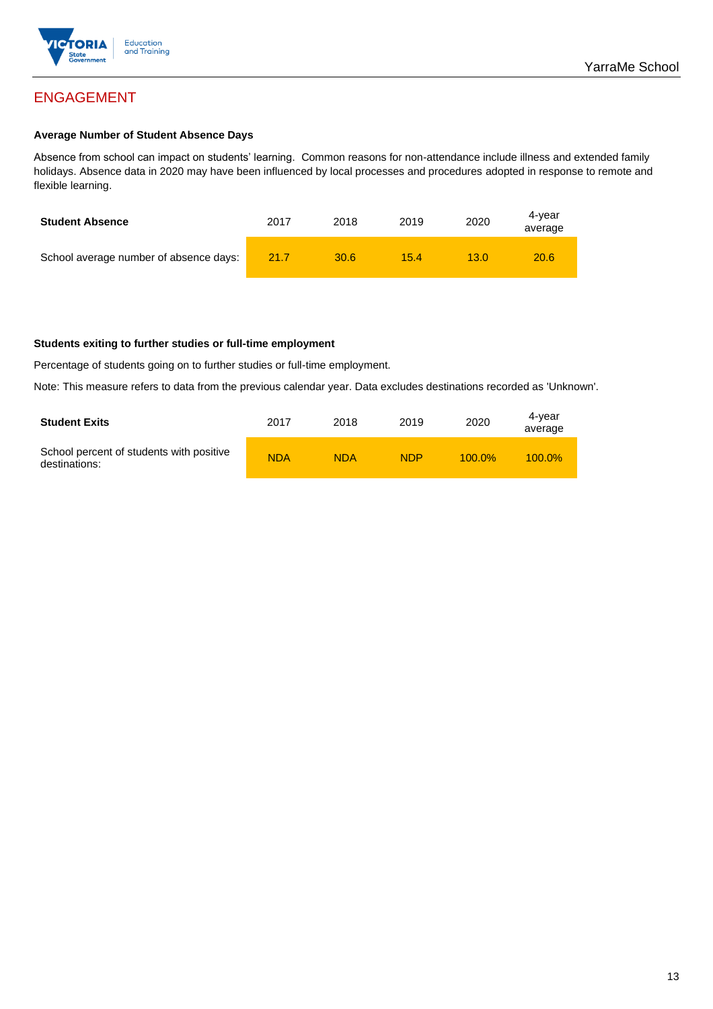

### **Average Number of Student Absence Days**

Absence from school can impact on students' learning. Common reasons for non-attendance include illness and extended family holidays. Absence data in 2020 may have been influenced by local processes and procedures adopted in response to remote and flexible learning.

| <b>Student Absence</b>                 | 2017 | 2018 | 2019 | 2020 | 4-vear<br>average |
|----------------------------------------|------|------|------|------|-------------------|
| School average number of absence days: | 21.7 | 30.6 | 15.4 | 13 በ | 20.6              |

#### **Students exiting to further studies or full-time employment**

Percentage of students going on to further studies or full-time employment.

Note: This measure refers to data from the previous calendar year. Data excludes destinations recorded as 'Unknown'.

| <b>Student Exits</b>                                      | 2017       | 2018       | 2019       | 2020      | 4-vear<br>average |
|-----------------------------------------------------------|------------|------------|------------|-----------|-------------------|
| School percent of students with positive<br>destinations: | <b>NDA</b> | <b>NDA</b> | <b>NDP</b> | $100.0\%$ | $100.0\%$         |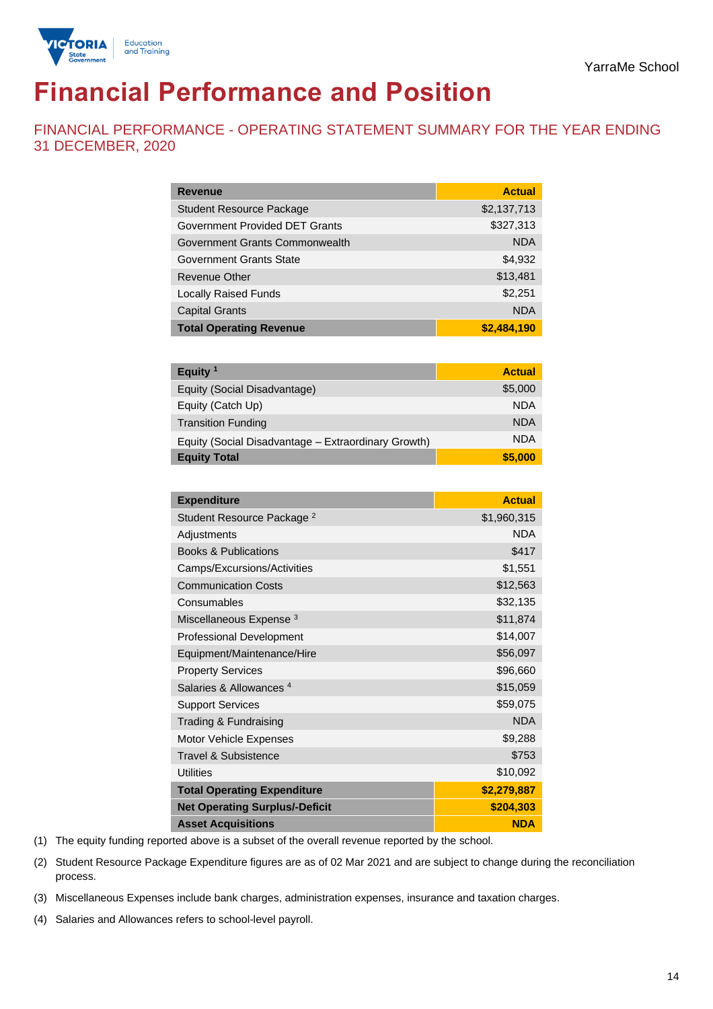

# **Financial Performance and Position**

FINANCIAL PERFORMANCE - OPERATING STATEMENT SUMMARY FOR THE YEAR ENDING 31 DECEMBER, 2020

| <b>Revenue</b>                  | <b>Actual</b> |
|---------------------------------|---------------|
| <b>Student Resource Package</b> | \$2,137,713   |
| Government Provided DET Grants  | \$327,313     |
| Government Grants Commonwealth  | <b>NDA</b>    |
| <b>Government Grants State</b>  | \$4,932       |
| Revenue Other                   | \$13,481      |
| <b>Locally Raised Funds</b>     | \$2,251       |
| <b>Capital Grants</b>           | <b>NDA</b>    |
| <b>Total Operating Revenue</b>  | \$2,484,190   |

| Equity $1$                                          | <b>Actual</b> |
|-----------------------------------------------------|---------------|
| Equity (Social Disadvantage)                        | \$5,000       |
| Equity (Catch Up)                                   | <b>NDA</b>    |
| <b>Transition Funding</b>                           | <b>NDA</b>    |
| Equity (Social Disadvantage - Extraordinary Growth) | <b>NDA</b>    |
| <b>Equity Total</b>                                 | \$5,000       |

| <b>Expenditure</b>                    | <b>Actual</b> |
|---------------------------------------|---------------|
| Student Resource Package <sup>2</sup> | \$1,960,315   |
| Adjustments                           | <b>NDA</b>    |
| <b>Books &amp; Publications</b>       | \$417         |
| Camps/Excursions/Activities           | \$1,551       |
| <b>Communication Costs</b>            | \$12,563      |
| Consumables                           | \$32,135      |
| Miscellaneous Expense <sup>3</sup>    | \$11,874      |
| <b>Professional Development</b>       | \$14,007      |
| Equipment/Maintenance/Hire            | \$56,097      |
| <b>Property Services</b>              | \$96,660      |
| Salaries & Allowances <sup>4</sup>    | \$15,059      |
| <b>Support Services</b>               | \$59,075      |
| Trading & Fundraising                 | <b>NDA</b>    |
| <b>Motor Vehicle Expenses</b>         | \$9,288       |
| Travel & Subsistence                  | \$753         |
| <b>Utilities</b>                      | \$10,092      |
| <b>Total Operating Expenditure</b>    | \$2,279,887   |
| <b>Net Operating Surplus/-Deficit</b> | \$204,303     |
| <b>Asset Acquisitions</b>             | <b>NDA</b>    |

(1) The equity funding reported above is a subset of the overall revenue reported by the school.

(2) Student Resource Package Expenditure figures are as of 02 Mar 2021 and are subject to change during the reconciliation process.

(3) Miscellaneous Expenses include bank charges, administration expenses, insurance and taxation charges.

(4) Salaries and Allowances refers to school-level payroll.